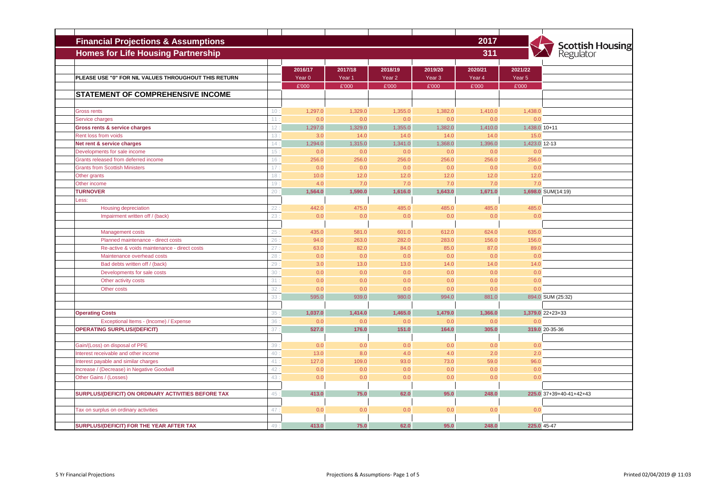| <b>Financial Projections &amp; Assumptions</b>       |                 |                                       |                            |                            |                                       | 2017                       |                            |                                      |
|------------------------------------------------------|-----------------|---------------------------------------|----------------------------|----------------------------|---------------------------------------|----------------------------|----------------------------|--------------------------------------|
| <b>Homes for Life Housing Partnership</b>            |                 |                                       |                            |                            |                                       | 311                        |                            | <b>Scottish Housing</b><br>Regulator |
| PLEASE USE "0" FOR NIL VALUES THROUGHOUT THIS RETURN |                 | 2016/17<br>Year <sub>0</sub><br>£'000 | 2017/18<br>Year 1<br>£'000 | 2018/19<br>Year 2<br>£'000 | 2019/20<br>Year <sub>3</sub><br>£'000 | 2020/21<br>Year 4<br>£'000 | 2021/22<br>Year 5<br>£'000 |                                      |
| <b>STATEMENT OF COMPREHENSIVE INCOME</b>             |                 |                                       |                            |                            |                                       |                            |                            |                                      |
|                                                      |                 |                                       |                            |                            |                                       |                            |                            |                                      |
| <b>Gross rents</b>                                   | 10:             | 1,297.0                               | 1,329.0                    | 1,355.0                    | 1,382.0                               | 1,410.0                    | 1,438.0                    |                                      |
| Service charges                                      | 11:             | 0.0                                   | 0.0                        | 0.0                        | 0.0                                   | 0.0                        | 0.0                        |                                      |
| Gross rents & service charges                        | 12:             | 1,297.0                               | 1,329.0                    | 1,355.0                    | 1,382.0                               | 1,410.0                    | 1,438.0 10+11              |                                      |
| Rent loss from voids                                 | 13:             | 3.0                                   | 14.0                       | 14.0                       | 14.0                                  | 14.0                       | 15.0                       |                                      |
| Net rent & service charges                           | 14:             | 1,294.0                               | 1,315.0                    | 1,341.0                    | 1,368.0                               | 1,396.0                    | 1,423.0 12-13              |                                      |
| Developments for sale income                         | 15 <sub>1</sub> | 0.0                                   | 0.0                        | 0.0                        | 0.0                                   | 0.0                        | 0.0                        |                                      |
| Grants released from deferred income                 | 16:             | 256.0                                 | 256.0                      | 256.0                      | 256.0                                 | 256.0                      | 256.0                      |                                      |
| <b>Grants from Scottish Ministers</b>                | 17 <sub>3</sub> | 0.0                                   | 0.0                        | 0.0                        | 0.0                                   | 0.0                        | 0.0                        |                                      |
| Other grants                                         | 18:             | 10.0                                  | 12.0                       | 12.0                       | 12.0                                  | 12.0                       | 12.0                       |                                      |
| Other income                                         | 19:             | 4.0                                   | 7.0                        | 7.0                        | 7.0                                   | 7.0                        | 7.0                        |                                      |
| <b>TURNOVER</b>                                      | 20:             | 1,564.0                               | 1,590.0                    | 1,616.0                    | 1,643.0                               | 1,671.0                    |                            | 1,698.0 SUM(14:19)                   |
| Less:                                                |                 |                                       |                            |                            |                                       |                            |                            |                                      |
| <b>Housing depreciation</b>                          | 22:             | 442.0                                 | 475.0                      | 485.0                      | 485.0                                 | 485.0                      | 485.0                      |                                      |
| Impairment written off / (back)                      | 23              | 0.0                                   | 0.0                        | 0.0                        | 0.0                                   | 0.0                        | 0.0                        |                                      |
|                                                      |                 |                                       |                            |                            |                                       |                            |                            |                                      |
| Management costs                                     | 25              | 435.0                                 | 581.0                      | 601.0                      | 612.0                                 | 624.0                      | 635.0                      |                                      |
| Planned maintenance - direct costs                   | 26              | 94.0                                  | 263.0                      | 282.0                      | 283.0                                 | 156.0                      | 156.0                      |                                      |
| Re-active & voids maintenance - direct costs         | 27              | 63.0                                  | 82.0                       | 84.0                       | 85.0                                  | 87.0                       | 89.0                       |                                      |
| Maintenance overhead costs                           | 28              | 0.0                                   | 0.0                        | 0.0                        | 0.0                                   | 0.0                        | 0.0                        |                                      |
| Bad debts written off / (back)                       | 29              | 3.0                                   | 13.0                       | 13.0                       | 14.0                                  | 14.0                       | 14.0                       |                                      |
| Developments for sale costs                          | 30:             | 0.0                                   | 0.0                        | 0.0                        | 0.0                                   | 0.0                        | 0.0                        |                                      |
| Other activity costs                                 | 31              | 0.0                                   | 0.0                        | 0.0                        | 0.0                                   | 0.0                        | 0.0                        |                                      |
| Other costs                                          | 32              | 0.0                                   | 0.0                        | 0.0                        | 0.0                                   | 0.0                        | 0.0                        |                                      |
|                                                      | 33              | 595.0                                 | 939.0                      | 980.0                      | 994.0                                 | 881.0                      |                            | 894.0 SUM (25:32)                    |
|                                                      |                 |                                       |                            |                            |                                       |                            |                            |                                      |
| <b>Operating Costs</b>                               | 35              | 1,037.0                               | 1,414.0                    | 1,465.0                    | 1,479.0                               | 1,366.0                    |                            | 1,379.0 22+23+33                     |
| Exceptional Items - (Income) / Expense               | 36              | 0.0                                   | 0.0                        | 0.0                        | 0.0                                   | 0.0                        | 0.0                        |                                      |
| <b>OPERATING SURPLUS/(DEFICIT)</b>                   | 37              | 527.0                                 | 176.0                      | 151.0                      | 164.0                                 | 305.0                      |                            | 319.0 20-35-36                       |
|                                                      |                 |                                       |                            |                            |                                       |                            |                            |                                      |
| Gain/(Loss) on disposal of PPE                       | 39              | 0.0                                   | 0.0                        | 0.0                        | 0.0                                   | 0.0                        | 0.0                        |                                      |
| Interest receivable and other income                 | 40              | 13.0                                  | 8.0                        | 4.0                        | 4.0                                   | 2.0                        | 2.0                        |                                      |
| Interest payable and similar charges                 | 41:             | 127.0                                 | 109.0                      | 93.0                       | 73.0                                  | 59.0                       | 96.0                       |                                      |
| Increase / (Decrease) in Negative Goodwill           | 42              | 0.0                                   | 0.0                        | 0.0                        | 0.0                                   | 0.0                        | 0.0                        |                                      |
| Other Gains / (Losses)                               | 43              | 0.0                                   | 0.0                        | 0.0                        | 0.0                                   | 0.0                        | 0.0                        |                                      |
|                                                      |                 |                                       |                            |                            |                                       |                            |                            |                                      |
| SURPLUS/(DEFICIT) ON ORDINARY ACTIVITIES BEFORE TAX  | 45              | 413.0                                 | 75.0                       | 62.0                       | 95.0                                  | 248.0                      |                            | 225.0 37+39+40-41+42+43              |
|                                                      |                 |                                       |                            |                            |                                       |                            |                            |                                      |
| Tax on surplus on ordinary activities                | 47              | 0.0                                   | 0.0                        | 0.0                        | 0.0                                   | 0.0                        | 0.0                        |                                      |
|                                                      |                 |                                       |                            |                            |                                       |                            |                            |                                      |
| SURPLUS/(DEFICIT) FOR THE YEAR AFTER TAX             | 49              | 413.0                                 | 75.0                       | 62.0                       | 95.0                                  | 248.0                      |                            | 225.0 45-47                          |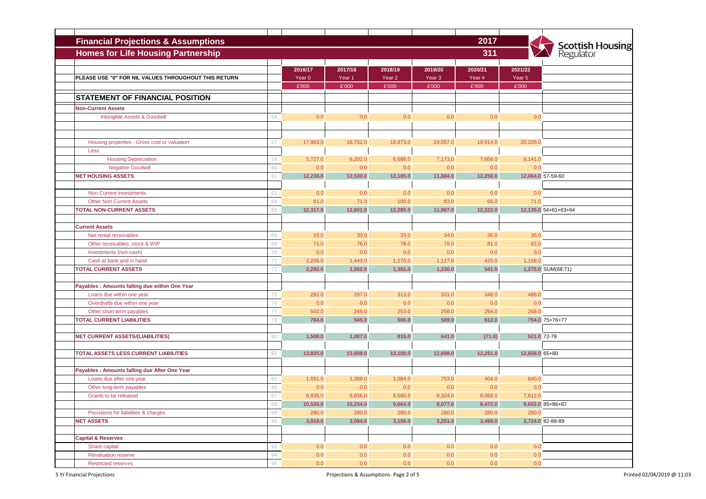| 2017<br><b>Financial Projections &amp; Assumptions</b> |     |                   |          |                   |                   |          |                |                                      |
|--------------------------------------------------------|-----|-------------------|----------|-------------------|-------------------|----------|----------------|--------------------------------------|
| <b>Homes for Life Housing Partnership</b><br>311       |     |                   |          |                   |                   |          |                | <b>Scottish Housing</b><br>Regulator |
|                                                        |     |                   |          |                   |                   |          |                |                                      |
|                                                        |     | 2016/17           | 2017/18  | 2018/19           | 2019/20           | 2020/21  | 2021/22        |                                      |
| PLEASE USE "0" FOR NIL VALUES THROUGHOUT THIS RETURN   |     | Year <sub>0</sub> | Year 1   | Year <sub>2</sub> | Year <sub>3</sub> | Year 4   | Year 5         |                                      |
|                                                        |     | £'000             | £'000    | £'000             | £'000             | £'000    | £'000          |                                      |
| <b>STATEMENT OF FINANCIAL POSITION</b>                 |     |                   |          |                   |                   |          |                |                                      |
| <b>Non-Current Assets</b>                              |     |                   |          |                   |                   |          |                |                                      |
| Intangible Assets & Goodwill                           | 54: | 0.0               | 0.0      | 0.0               | 0.0               | 0.0      | 0.0            |                                      |
|                                                        |     |                   |          |                   |                   |          |                |                                      |
|                                                        |     |                   |          |                   |                   |          |                |                                      |
| Housing properties - Gross cost or valuation           | 57: | 17,963.0          | 18,732.0 | 18,873.0          | 19,057.0          | 19,914.0 | 20,205.0       |                                      |
| Less                                                   |     |                   |          |                   |                   |          |                |                                      |
| <b>Housing Depreciation</b>                            | 59  | 5,727.0           | 6,202.0  | 6,688.0           | 7,173.0           | 7,658.0  | 8,141.0        |                                      |
| <b>Negative Goodwill</b>                               | 60  | 0.0               | 0.0      | 0.0               | 0.0               | 0.0      | 0.0            |                                      |
| <b>NET HOUSING ASSETS</b>                              | 61  | 12,236.0          | 12,530.0 | 12,185.0          | 11,884.0          | 12,256.0 |                | 12,064.0 57-59-60                    |
|                                                        |     |                   |          |                   |                   |          |                |                                      |
| <b>Non-Current Investments</b>                         | 63  | 0.0               | 0.0      | 0.0               | 0.0               | 0.0      | 0.0            |                                      |
| <b>Other Non Current Assets</b>                        | 64  | 81.0              | 71.0     | 100.0             | 83.0              | 66.0     | 71.0           |                                      |
| <b>TOTAL NON-CURRENT ASSETS</b>                        | 65  | 12,317.0          | 12,601.0 | 12,285.0          | 11,967.0          | 12,322.0 |                | 12.135.0 54+61+63+64                 |
|                                                        |     |                   |          |                   |                   |          |                |                                      |
| <b>Current Assets</b>                                  |     |                   |          |                   |                   |          |                |                                      |
| Net rental receivables                                 | 68  | 15.0              | 33.0     | 33.0              | 34.0              | 35.0     | 35.0           |                                      |
| Other receivables, stock & WIP                         | 69  | 71.0              | 76.0     | 78.0              | 79.0              | 81.0     | 82.0           |                                      |
| Investments (non-cash)                                 | 70: | 0.0               | 0.0      | 0.0               | 0.0               | 0.0      | 0.0            |                                      |
| Cash at bank and in hand                               | 71  | 2,206.0           | 1,443.0  | 1,270.0           | 1,117.0           | 425.0    | 1,158.0        |                                      |
| <b>TOTAL CURRENT ASSETS</b>                            | 72  | 2,292.0           | 1,552.0  | 1,381.0           | 1,230.0           | 541.0    |                | 1,275.0 SUM(68:71)                   |
|                                                        |     |                   |          |                   |                   |          |                |                                      |
| Payables: Amounts falling due within One Year          |     |                   |          |                   |                   |          |                |                                      |
| Loans due within one year                              | 75  | 282.0             | 297.0    | 313.0             | 331.0             | 348.0    | 486.0          |                                      |
| Overdrafts due within one year                         | 76  | 0.0               | 0.0      | 0.0               | 0.0               | 0.0      | 0.0            |                                      |
| Other short-term payables                              | 77: | 502.0             | 248.0    | 253.0             | 258.0             | 264.0    | 268.0          |                                      |
| <b>TOTAL CURRENT LIABILITIES</b>                       | 78  | 784.0             | 545.0    | 566.0             | 589.0             | 612.0    |                | 754.0 75+76+77                       |
|                                                        |     |                   |          |                   |                   |          |                |                                      |
| <b>NET CURRENT ASSETS/(LIABILITIES)</b>                | 80  | 1,508.0           | 1,007.0  | 815.0             | 641.0             | (71.0)   |                | 521.0 72-78                          |
|                                                        |     |                   |          |                   |                   |          |                |                                      |
| TOTAL ASSETS LESS CURRENT LIABILITIES                  | 82  | 13,825.0          | 13,608.0 | 13,100.0          | 12,608.0          | 12,251.0 | 12,656.0 65+80 |                                      |
|                                                        |     |                   |          |                   |                   |          |                |                                      |
| Payables : Amounts falling due After One Year          |     |                   |          |                   |                   |          |                |                                      |
| Loans due after one year                               | 85  | 1,691.0           | 1,398.0  | 1,084.0           | 753.0             | 404.0    | 840.0          |                                      |
| Other long-term payables                               | 86  | 0.0               | 0.0      | 0.0               | 0.0               | 0.0      | 0.0            |                                      |
| Grants to be released                                  | 87  | 8,835.0           | 8,836.0  | 8,580.0           | 8,324.0           | 8,068.0  | 7,812.0        |                                      |
|                                                        | 88: | 10,526.0          | 10,234.0 | 9,664.0           | 9,077.0           | 8,472.0  |                | 8,652.0 85+86+87                     |
| Provisions for liabilities & charges                   | 89: | 280.0             | 280.0    | 280.0             | 280.0             | 280.0    | 280.0          |                                      |
| <b>NET ASSETS</b>                                      | 90: | 3,019.0           | 3,094.0  | 3,156.0           | 3,251.0           | 3,499.0  |                | 3,724.0 82-88-89                     |
|                                                        |     |                   |          |                   |                   |          |                |                                      |
| <b>Capital &amp; Reserves</b>                          |     |                   |          |                   |                   |          |                |                                      |
| Share capital                                          | 93: | 0.0               | 0.0      | 0.0               | 0.0               | 0.0      | 0.0            |                                      |
| <b>Revaluation reserve</b>                             | 94: | 0.0               | 0.0      | 0.0               | 0.0               | 0.0      | 0.0            |                                      |
| <b>Restricted reserves</b>                             | 95: | 0.0               | 0.0      | 0.0               | 0.0               | 0.0      | 0.0            |                                      |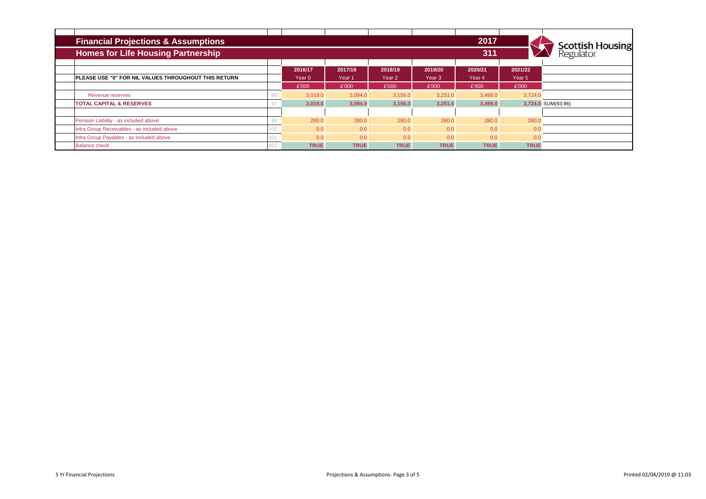| <b>Financial Projections &amp; Assumptions</b>       |     |             |             |             |                   | 2017        |             |                                      |
|------------------------------------------------------|-----|-------------|-------------|-------------|-------------------|-------------|-------------|--------------------------------------|
| <b>Homes for Life Housing Partnership</b>            |     |             |             |             |                   | 311         |             | <b>Scottish Housing</b><br>Regulator |
|                                                      |     | 2016/17     | 2017/18     | 2018/19     | 2019/20           | 2020/21     | 2021/22     |                                      |
| PLEASE USE "0" FOR NIL VALUES THROUGHOUT THIS RETURN |     | Year 0      | Year 1      | Year 2      | Year <sub>3</sub> | Year 4      | Year 5      |                                      |
|                                                      |     | £'000       | £'000       | £'000       | £'000             | £'000       | £'000       |                                      |
| Revenue reserves                                     | 96  | 3.019.0     | 3.094.0     | 3,156.0     | 3,251.0           | 3,499.0     | 3.724.0     |                                      |
| <b>TOTAL CAPITAL &amp; RESERVES</b>                  | 97  | 3,019.0     | 3,094.0     | 3,156.0     | 3,251.0           | 3,499.0     |             | 3,724.0 SUM(93:96)                   |
|                                                      |     |             |             |             |                   |             |             |                                      |
| Pension Liability - as included above                | 99  | 280.0       | 280.0       | 280.0       | 280.0             | 280.0       | 280.0       |                                      |
| Intra Group Receivables - as included above          | 100 | 0.0         | 0.0         | 0.0         | 0.0               | 0.0         | 0.0         |                                      |
| Intra Group Payables - as included above             | 101 | 0.0         | 0.0         | 0.0         | 0.0               | 0.0         | 0.0         |                                      |
| <b>Balance check</b>                                 | 102 | <b>TRUE</b> | <b>TRUE</b> | <b>TRUE</b> | <b>TRUE</b>       | <b>TRUE</b> | <b>TRUE</b> |                                      |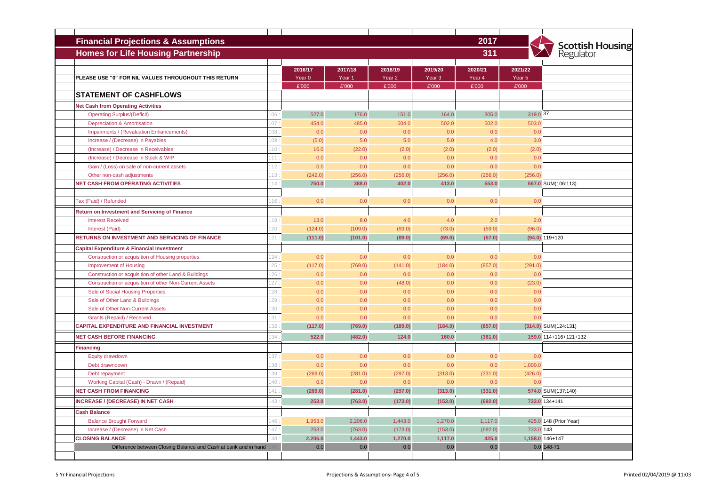| <b>Financial Projections &amp; Assumptions</b>                                         |      |                              |                              |                              |                              | 2017              |                   |                                      |
|----------------------------------------------------------------------------------------|------|------------------------------|------------------------------|------------------------------|------------------------------|-------------------|-------------------|--------------------------------------|
| <b>Homes for Life Housing Partnership</b>                                              |      |                              |                              |                              |                              | 311               |                   | <b>Scottish Housing</b><br>Regulator |
|                                                                                        |      |                              |                              |                              |                              |                   |                   |                                      |
| PLEASE USE "0" FOR NIL VALUES THROUGHOUT THIS RETURN                                   |      | 2016/17<br>Year <sub>0</sub> | 2017/18<br>Year <sub>1</sub> | 2018/19<br>Year <sub>2</sub> | 2019/20<br>Year <sub>3</sub> | 2020/21<br>Year 4 | 2021/22<br>Year 5 |                                      |
|                                                                                        |      | £'000                        | £'000                        | £'000                        | £'000                        | £'000             | £'000             |                                      |
| <b>STATEMENT OF CASHFLOWS</b>                                                          |      |                              |                              |                              |                              |                   |                   |                                      |
| <b>Net Cash from Operating Activities</b>                                              |      |                              |                              |                              |                              |                   |                   |                                      |
| <b>Operating Surplus/(Deficit)</b>                                                     | 106  | 527.0                        | 176.0                        | 151.0                        | 164.0                        | 305.0             | 319.0 37          |                                      |
| <b>Depreciation &amp; Amortisation</b>                                                 | 107  | 454.0                        | 485.0                        | 504.0                        | 502.0                        | 502.0             | 503.0             |                                      |
| Impairments / (Revaluation Enhancements)                                               | 108  | 0.0                          | 0.0                          | 0.0                          | 0.0                          | 0.0               | 0.0               |                                      |
| Increase / (Decrease) in Payables                                                      | 109: | (5.0)                        | 5.0                          | 5.0                          | 5.0                          | 4.0               | 3.0               |                                      |
| (Increase) / Decrease in Receivables                                                   | 110: | 16.0                         | (22.0)                       | (2.0)                        | (2.0)                        | (2.0)             | (2.0)             |                                      |
| (Increase) / Decrease in Stock & WIP                                                   | 111  | 0.0                          | 0.0                          | 0.0                          | 0.0                          | 0.0               | 0.0               |                                      |
| Gain / (Loss) on sale of non-current assets                                            | 112: | 0.0                          | 0.0                          | 0.0                          | 0.0                          | 0.0               | 0.0               |                                      |
| Other non-cash adjustments                                                             | 113: | (242.0)                      | (256.0)                      | (256.0)                      | (256.0)                      | (256.0)           | (256.0)           |                                      |
| <b>NET CASH FROM OPERATING ACTIVITIES</b>                                              | 14   | 750.0                        | 388.0                        | 402.0                        | 413.0                        | 553.0             |                   | 567.0 SUM(106:113)                   |
|                                                                                        |      |                              |                              |                              |                              |                   |                   |                                      |
| Tax (Paid) / Refunded                                                                  | 16   | 0.0                          | 0.0                          | 0.0                          | 0.0                          | 0.0               | 0.0               |                                      |
| <b>Return on Investment and Servicing of Finance</b>                                   |      |                              |                              |                              |                              |                   |                   |                                      |
| <b>Interest Received</b>                                                               | 119  | 13.0                         | 8.0                          | 4.0                          | 4.0                          | 2.0               | 2.0               |                                      |
| Interest (Paid)                                                                        | 120  | (124.0)                      | (109.0)                      | (93.0)                       | (73.0)                       | (59.0)            | (96.0)            |                                      |
| RETURNS ON INVESTMENT AND SERVICING OF FINANCE                                         | 121  | (111.0)                      | (101.0)                      | (89.0)                       | (69.0)                       | (57.0)            |                   | $(94.0) 119+120$                     |
|                                                                                        |      |                              |                              |                              |                              |                   |                   |                                      |
| <b>Capital Expenditure &amp; Financial Investment</b>                                  | 124: | 0.0                          | 0.0                          | 0.0                          | 0.0                          | 0.0               | 0.0               |                                      |
| Construction or acquisition of Housing properties                                      | 125  |                              |                              |                              |                              |                   | (291.0)           |                                      |
| <b>Improvement of Housing</b><br>Construction or acquisition of other Land & Buildings | 126  | (117.0)<br>0.0               | (769.0)<br>0.0               | (141.0)<br>0.0               | (184.0)<br>0.0               | (857.0)<br>0.0    | 0.0               |                                      |
| Construction or acquisition of other Non-Current Assets                                | 127  | 0.0                          | 0.0                          | (48.0)                       | 0.0                          | 0.0               | (23.0)            |                                      |
| Sale of Social Housing Properties                                                      | 128: | 0.0                          | 0.0                          | 0.0                          | 0.0                          | 0.0               | 0.0               |                                      |
| Sale of Other Land & Buildings                                                         | 129  | 0.0                          | 0.0                          | 0.0                          | 0.0                          | 0.0               | 0.0               |                                      |
| Sale of Other Non-Current Assets                                                       | 130: | 0.0                          | 0.0                          | 0.0                          | 0.0                          | 0.0               | 0.0               |                                      |
| Grants (Repaid) / Received                                                             | 131  | 0.0                          | 0.0                          | 0.0                          | 0.0                          | 0.0               | 0.0               |                                      |
| <b>CAPITAL EXPENDITURE AND FINANCIAL INVESTMENT</b>                                    | 132  | (117.0)                      | (769.0)                      | (189.0)                      | (184.0)                      | (857.0)           |                   | $(314.0)$ SUM $(124:131)$            |
| <b>NET CASH BEFORE FINANCING</b>                                                       | 34   | 522.0                        |                              | 124.0                        | 160.0                        |                   |                   | 159.0 114+116+121+132                |
|                                                                                        |      |                              | (482.0)                      |                              |                              | (361.0)           |                   |                                      |
| <b>Financing</b>                                                                       |      |                              |                              |                              |                              |                   |                   |                                      |
| Equity drawdown                                                                        | 137  | 0.0                          | 0.0                          | 0.0                          | 0.0                          | 0.0               | 0.0               |                                      |
| Debt drawndown                                                                         | 138  | 0.0                          | 0.0                          | 0.0                          | 0.0                          | 0.0               | 1,000.0           |                                      |
| Debt repayment                                                                         | 139  | (269.0)                      | (281.0)                      | (297.0)                      | (313.0)                      | (331.0)           | (426.0)           |                                      |
| Working Capital (Cash) - Drawn / (Repaid)                                              | 140  | 0.0                          | 0.0                          | 0.0                          | 0.0                          | 0.0               | 0.0               |                                      |
| <b>NET CASH FROM FINANCING</b>                                                         | 141  | (269.0)                      | (281.0)                      | (297.0)                      | (313.0)                      | (331.0)           |                   | 574.0 SUM(137:140)                   |
| <b>INCREASE / (DECREASE) IN NET CASH</b>                                               | 143: | 253.0                        | (763.0)                      | (173.0)                      | (153.0)                      | (692.0)           |                   | 733.0 134+141                        |
| <b>Cash Balance</b>                                                                    |      |                              |                              |                              |                              |                   |                   |                                      |
| <b>Balance Brought Forward</b>                                                         | 146  | 1,953.0                      | 2,206.0                      | 1,443.0                      | 1,270.0                      | 1,117.0           |                   | 425.0 148 (Prior Year)               |
| Increase / (Decrease) in Net Cash                                                      | 147  | 253.0                        | (763.0)                      | (173.0)                      | (153.0)                      | (692.0)           | 733.0 143         |                                      |
| <b>CLOSING BALANCE</b>                                                                 | 148  | 2,206.0                      | 1,443.0                      | 1,270.0                      | 1,117.0                      | 425.0             |                   | 1,158.0 146+147                      |
| Difference between Closing Balance and Cash at bank and in hand                        |      | 0.0                          | 0.0                          | 0.0                          | 0.0                          | 0.0               |                   | $0.0148 - 71$                        |
|                                                                                        |      |                              |                              |                              |                              |                   |                   |                                      |